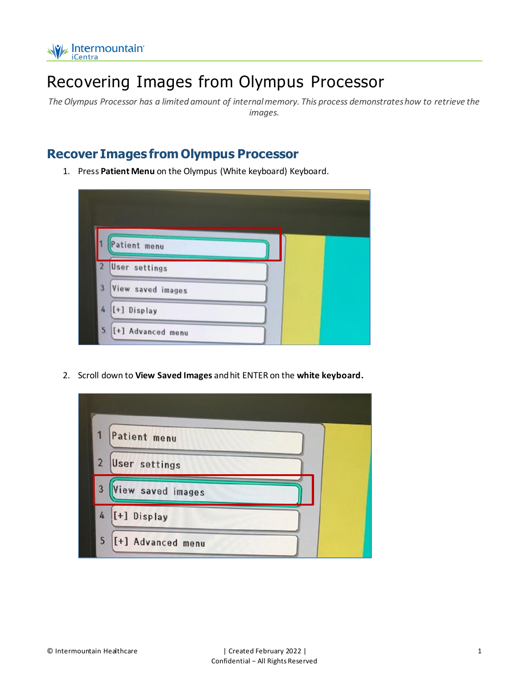

## Recovering Images from Olympus Processor

*The Olympus Processor has a limited amount of internal memory. This process demonstrates how to retrieve the images.*

## **Recover Images from Olympus Processor**

1. Press **Patient Menu** on the Olympus (White keyboard) Keyboard.



2. Scroll down to **View Saved Images** and hit ENTER on the **white keyboard.**

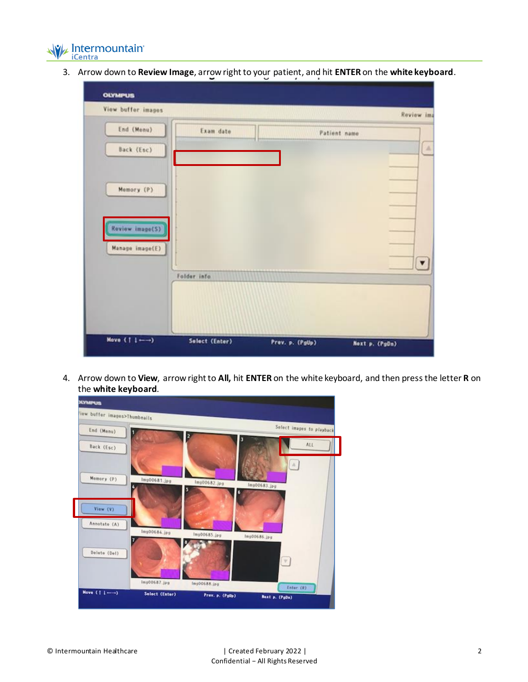

3. Arrow down to **Review Image**, arrow right to your patient, and hit **ENTER** on the **white keyboard**.

| <b>OLYMPUS</b>                     |                |                 |                          |
|------------------------------------|----------------|-----------------|--------------------------|
| View buffer images                 |                |                 | Review ima               |
| End (Menu)<br>Back (Esc)           | Exam date      |                 | Patient name<br>$\Delta$ |
| Momory (P)                         |                |                 |                          |
| Review image(S)<br>Manage image(E) |                |                 | $\blacktriangledown$     |
|                                    | Folder info.   |                 |                          |
| Mave $(1 - )$                      | Select (Enter) | Prev. p. (PgUp) | Noxt p. (PgDn)           |

4. Arrow down to **View**, arrow right to **All,** hit **ENTER** on the white keyboard, and then press the letter **R** on the **white keyboard**.

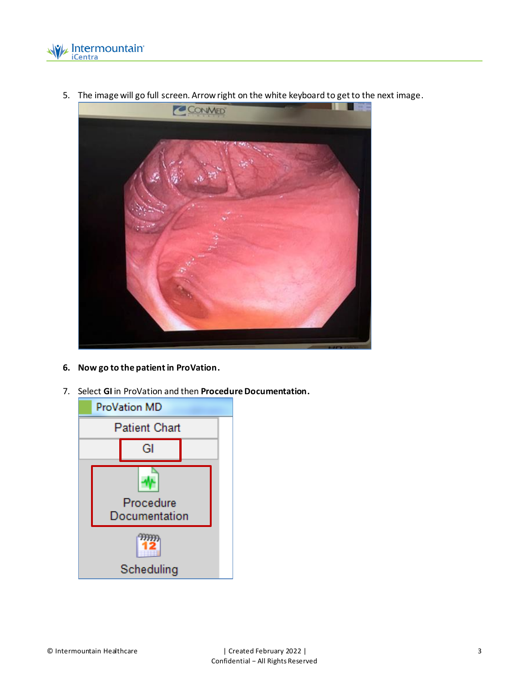



5. The image will go full screen. Arrow right on the white keyboard to get to the next image.

- **6. Now go to the patient in ProVation.**
- 7. Select **GI** in ProVation and then **Procedure Documentation.**

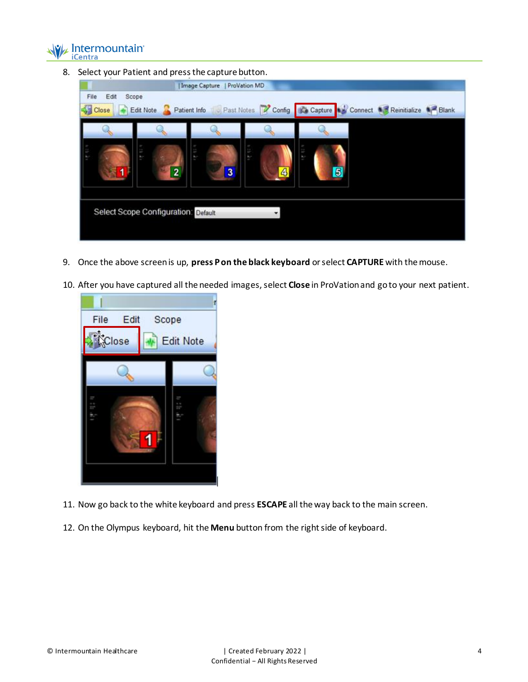

8. Select your Patient and press the capture button.



- 9. Once the above screen is up, **press P on the black keyboard** or select **CAPTURE** with the mouse.
- 10. After you have captured all the needed images, select **Close** in ProVation and go to your next patient.



- 11. Now go back to the white keyboard and press **ESCAPE** all the way back to the main screen.
- 12. On the Olympus keyboard, hit the **Menu** button from the right side of keyboard.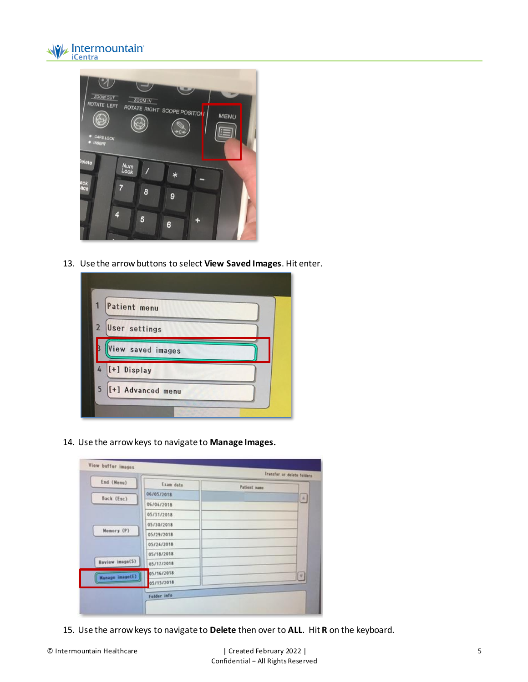



13. Use the arrow buttons to select **View Saved Images**. Hit enter.



14. Use the arrow keys to navigate to **Manage Images.**

| End (Menu)                    | Exam date   | <b>Patient</b> name |        |
|-------------------------------|-------------|---------------------|--------|
| Back (Esc)                    | 06/05/2018  |                     | 国      |
|                               | 06/04/2018  |                     |        |
| Memory (P)<br>Review image(S) | 05/31/2018  |                     |        |
|                               | 05/30/2018  |                     |        |
|                               | 05/29/2018  |                     |        |
|                               | 05/24/2018  |                     |        |
|                               | 05/18/2018  |                     |        |
|                               | 05/17/2018  |                     |        |
| <b>Hanage image(E)</b>        | 05/16/2018  |                     | $\tau$ |
|                               | 05/15/2018  |                     |        |
|                               | Folder info |                     |        |

15. Use the arrow keys to navigate to **Delete** then over to **ALL**. Hit **R** on the keyboard.